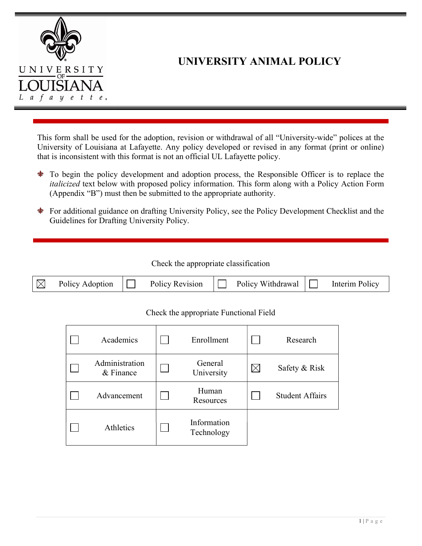

# UNIVERSITY ANIMAL POLICY

This form shall be used for the adoption, revision or withdrawal of all "University-wide" polices at the University of Louisiana at Lafayette. Any policy developed or revised in any format (print or online) that is inconsistent with this format is not an official UL Lafayette policy.

- To begin the policy development and adoption process, the Responsible Officer is to replace the italicized text below with proposed policy information. This form along with a Policy Action Form (Appendix "B") must then be submitted to the appropriate authority.
- For additional guidance on drafting University Policy, see the Policy Development Checklist and the Guidelines for Drafting University Policy.

| Check the appropriate classification |  |
|--------------------------------------|--|
|--------------------------------------|--|

| Policy Adoption |  | Policy Revision |  | Policy Withdrawal |  | Policy<br>Interim |
|-----------------|--|-----------------|--|-------------------|--|-------------------|
|-----------------|--|-----------------|--|-------------------|--|-------------------|

## Check the appropriate Functional Field

| Academics                   | Enrollment                | Research               |
|-----------------------------|---------------------------|------------------------|
| Administration<br>& Finance | General<br>University     | Safety & Risk          |
| Advancement                 | Human<br>Resources        | <b>Student Affairs</b> |
| Athletics                   | Information<br>Technology |                        |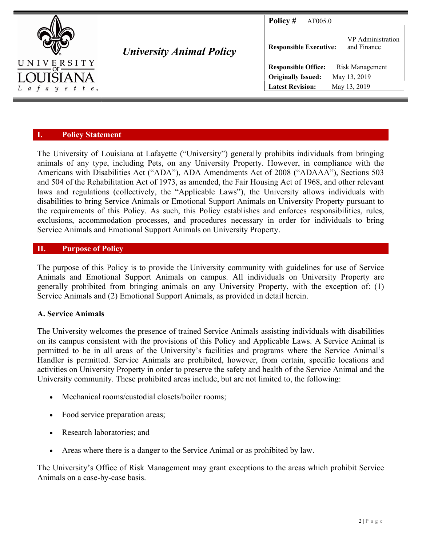

University Animal Policy

**Policy # AF005.0** 

| <b>Responsible Executive:</b> |  | VP Administration<br>and Finance |
|-------------------------------|--|----------------------------------|
| <b>Responsible Office:</b>    |  | Risk Management                  |
| <b>Originally Issued:</b>     |  | May 13, 2019                     |
| <b>Latest Revision:</b>       |  | May 13, 2019                     |

## I. Policy Statement

The University of Louisiana at Lafayette ("University") generally prohibits individuals from bringing animals of any type, including Pets, on any University Property. However, in compliance with the Americans with Disabilities Act ("ADA"), ADA Amendments Act of 2008 ("ADAAA"), Sections 503 and 504 of the Rehabilitation Act of 1973, as amended, the Fair Housing Act of 1968, and other relevant laws and regulations (collectively, the "Applicable Laws"), the University allows individuals with disabilities to bring Service Animals or Emotional Support Animals on University Property pursuant to the requirements of this Policy. As such, this Policy establishes and enforces responsibilities, rules, exclusions, accommodation processes, and procedures necessary in order for individuals to bring Service Animals and Emotional Support Animals on University Property.

# II. Purpose of Policy

The purpose of this Policy is to provide the University community with guidelines for use of Service Animals and Emotional Support Animals on campus. All individuals on University Property are generally prohibited from bringing animals on any University Property, with the exception of: (1) Service Animals and (2) Emotional Support Animals, as provided in detail herein.

## A. Service Animals

The University welcomes the presence of trained Service Animals assisting individuals with disabilities on its campus consistent with the provisions of this Policy and Applicable Laws. A Service Animal is permitted to be in all areas of the University's facilities and programs where the Service Animal's Handler is permitted. Service Animals are prohibited, however, from certain, specific locations and activities on University Property in order to preserve the safety and health of the Service Animal and the University community. These prohibited areas include, but are not limited to, the following:

- Mechanical rooms/custodial closets/boiler rooms;
- Food service preparation areas;
- Research laboratories; and
- Areas where there is a danger to the Service Animal or as prohibited by law.

The University's Office of Risk Management may grant exceptions to the areas which prohibit Service Animals on a case-by-case basis.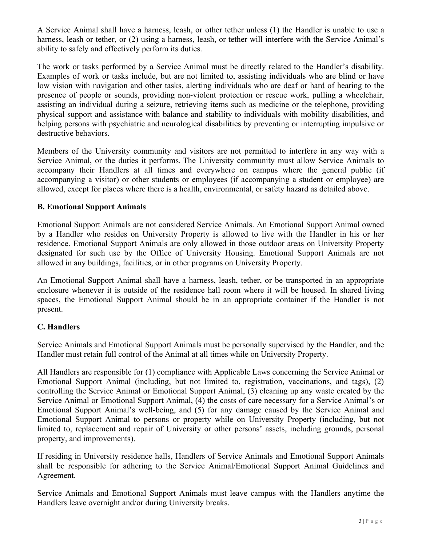A Service Animal shall have a harness, leash, or other tether unless (1) the Handler is unable to use a harness, leash or tether, or (2) using a harness, leash, or tether will interfere with the Service Animal's ability to safely and effectively perform its duties.

The work or tasks performed by a Service Animal must be directly related to the Handler's disability. Examples of work or tasks include, but are not limited to, assisting individuals who are blind or have low vision with navigation and other tasks, alerting individuals who are deaf or hard of hearing to the presence of people or sounds, providing non-violent protection or rescue work, pulling a wheelchair, assisting an individual during a seizure, retrieving items such as medicine or the telephone, providing physical support and assistance with balance and stability to individuals with mobility disabilities, and helping persons with psychiatric and neurological disabilities by preventing or interrupting impulsive or destructive behaviors.

Members of the University community and visitors are not permitted to interfere in any way with a Service Animal, or the duties it performs. The University community must allow Service Animals to accompany their Handlers at all times and everywhere on campus where the general public (if accompanying a visitor) or other students or employees (if accompanying a student or employee) are allowed, except for places where there is a health, environmental, or safety hazard as detailed above.

## B. Emotional Support Animals

Emotional Support Animals are not considered Service Animals. An Emotional Support Animal owned by a Handler who resides on University Property is allowed to live with the Handler in his or her residence. Emotional Support Animals are only allowed in those outdoor areas on University Property designated for such use by the Office of University Housing. Emotional Support Animals are not allowed in any buildings, facilities, or in other programs on University Property.

An Emotional Support Animal shall have a harness, leash, tether, or be transported in an appropriate enclosure whenever it is outside of the residence hall room where it will be housed. In shared living spaces, the Emotional Support Animal should be in an appropriate container if the Handler is not present.

## C. Handlers

Service Animals and Emotional Support Animals must be personally supervised by the Handler, and the Handler must retain full control of the Animal at all times while on University Property.

All Handlers are responsible for (1) compliance with Applicable Laws concerning the Service Animal or Emotional Support Animal (including, but not limited to, registration, vaccinations, and tags), (2) controlling the Service Animal or Emotional Support Animal, (3) cleaning up any waste created by the Service Animal or Emotional Support Animal, (4) the costs of care necessary for a Service Animal's or Emotional Support Animal's well-being, and (5) for any damage caused by the Service Animal and Emotional Support Animal to persons or property while on University Property (including, but not limited to, replacement and repair of University or other persons' assets, including grounds, personal property, and improvements).

If residing in University residence halls, Handlers of Service Animals and Emotional Support Animals shall be responsible for adhering to the Service Animal/Emotional Support Animal Guidelines and Agreement.

Service Animals and Emotional Support Animals must leave campus with the Handlers anytime the Handlers leave overnight and/or during University breaks.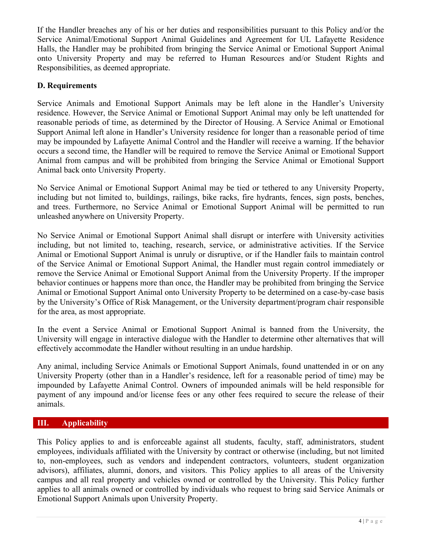If the Handler breaches any of his or her duties and responsibilities pursuant to this Policy and/or the Service Animal/Emotional Support Animal Guidelines and Agreement for UL Lafayette Residence Halls, the Handler may be prohibited from bringing the Service Animal or Emotional Support Animal onto University Property and may be referred to Human Resources and/or Student Rights and Responsibilities, as deemed appropriate.

## D. Requirements

Service Animals and Emotional Support Animals may be left alone in the Handler's University residence. However, the Service Animal or Emotional Support Animal may only be left unattended for reasonable periods of time, as determined by the Director of Housing. A Service Animal or Emotional Support Animal left alone in Handler's University residence for longer than a reasonable period of time may be impounded by Lafayette Animal Control and the Handler will receive a warning. If the behavior occurs a second time, the Handler will be required to remove the Service Animal or Emotional Support Animal from campus and will be prohibited from bringing the Service Animal or Emotional Support Animal back onto University Property.

No Service Animal or Emotional Support Animal may be tied or tethered to any University Property, including but not limited to, buildings, railings, bike racks, fire hydrants, fences, sign posts, benches, and trees. Furthermore, no Service Animal or Emotional Support Animal will be permitted to run unleashed anywhere on University Property.

No Service Animal or Emotional Support Animal shall disrupt or interfere with University activities including, but not limited to, teaching, research, service, or administrative activities. If the Service Animal or Emotional Support Animal is unruly or disruptive, or if the Handler fails to maintain control of the Service Animal or Emotional Support Animal, the Handler must regain control immediately or remove the Service Animal or Emotional Support Animal from the University Property. If the improper behavior continues or happens more than once, the Handler may be prohibited from bringing the Service Animal or Emotional Support Animal onto University Property to be determined on a case-by-case basis by the University's Office of Risk Management, or the University department/program chair responsible for the area, as most appropriate.

In the event a Service Animal or Emotional Support Animal is banned from the University, the University will engage in interactive dialogue with the Handler to determine other alternatives that will effectively accommodate the Handler without resulting in an undue hardship.

Any animal, including Service Animals or Emotional Support Animals, found unattended in or on any University Property (other than in a Handler's residence, left for a reasonable period of time) may be impounded by Lafayette Animal Control. Owners of impounded animals will be held responsible for payment of any impound and/or license fees or any other fees required to secure the release of their animals.

# III. Applicability

This Policy applies to and is enforceable against all students, faculty, staff, administrators, student employees, individuals affiliated with the University by contract or otherwise (including, but not limited to, non-employees, such as vendors and independent contractors, volunteers, student organization advisors), affiliates, alumni, donors, and visitors. This Policy applies to all areas of the University campus and all real property and vehicles owned or controlled by the University. This Policy further applies to all animals owned or controlled by individuals who request to bring said Service Animals or Emotional Support Animals upon University Property.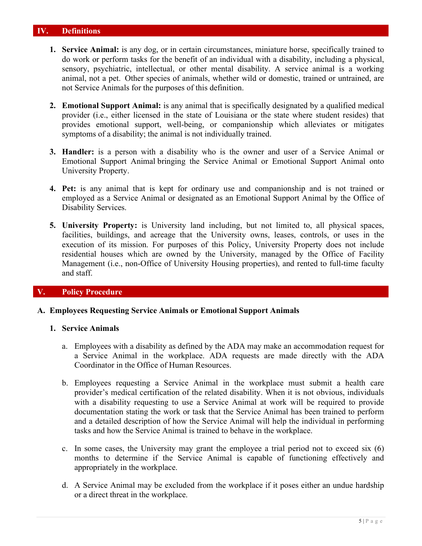#### IV. Definitions

- 1. Service Animal: is any dog, or in certain circumstances, miniature horse, specifically trained to do work or perform tasks for the benefit of an individual with a disability, including a physical, sensory, psychiatric, intellectual, or other mental disability. A service animal is a working animal, not a pet. Other species of animals, whether wild or domestic, trained or untrained, are not Service Animals for the purposes of this definition.
- 2. Emotional Support Animal: is any animal that is specifically designated by a qualified medical provider (i.e., either licensed in the state of Louisiana or the state where student resides) that provides emotional support, well-being, or companionship which alleviates or mitigates symptoms of a disability; the animal is not individually trained.
- 3. Handler: is a person with a disability who is the owner and user of a Service Animal or Emotional Support Animal bringing the Service Animal or Emotional Support Animal onto University Property.
- 4. Pet: is any animal that is kept for ordinary use and companionship and is not trained or employed as a Service Animal or designated as an Emotional Support Animal by the Office of Disability Services.
- 5. University Property: is University land including, but not limited to, all physical spaces, facilities, buildings, and acreage that the University owns, leases, controls, or uses in the execution of its mission. For purposes of this Policy, University Property does not include residential houses which are owned by the University, managed by the Office of Facility Management (i.e., non-Office of University Housing properties), and rented to full-time faculty and staff.

#### V. Policy Procedure

#### A. Employees Requesting Service Animals or Emotional Support Animals

#### 1. Service Animals

- a. Employees with a disability as defined by the ADA may make an accommodation request for a Service Animal in the workplace. ADA requests are made directly with the ADA Coordinator in the Office of Human Resources.
- b. Employees requesting a Service Animal in the workplace must submit a health care provider's medical certification of the related disability. When it is not obvious, individuals with a disability requesting to use a Service Animal at work will be required to provide documentation stating the work or task that the Service Animal has been trained to perform and a detailed description of how the Service Animal will help the individual in performing tasks and how the Service Animal is trained to behave in the workplace.
- c. In some cases, the University may grant the employee a trial period not to exceed six (6) months to determine if the Service Animal is capable of functioning effectively and appropriately in the workplace.
- d. A Service Animal may be excluded from the workplace if it poses either an undue hardship or a direct threat in the workplace.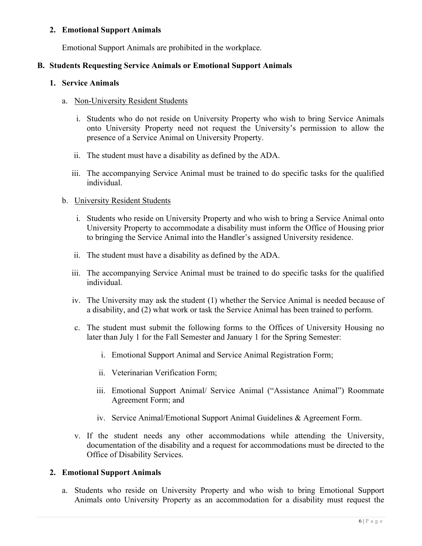## 2. Emotional Support Animals

Emotional Support Animals are prohibited in the workplace.

## B. Students Requesting Service Animals or Emotional Support Animals

#### 1. Service Animals

#### a. Non-University Resident Students

- i. Students who do not reside on University Property who wish to bring Service Animals onto University Property need not request the University's permission to allow the presence of a Service Animal on University Property.
- ii. The student must have a disability as defined by the ADA.
- iii. The accompanying Service Animal must be trained to do specific tasks for the qualified individual.

## b. University Resident Students

- i. Students who reside on University Property and who wish to bring a Service Animal onto University Property to accommodate a disability must inform the Office of Housing prior to bringing the Service Animal into the Handler's assigned University residence.
- ii. The student must have a disability as defined by the ADA.
- iii. The accompanying Service Animal must be trained to do specific tasks for the qualified individual.
- iv. The University may ask the student (1) whether the Service Animal is needed because of a disability, and (2) what work or task the Service Animal has been trained to perform.
- c. The student must submit the following forms to the Offices of University Housing no later than July 1 for the Fall Semester and January 1 for the Spring Semester:
	- i. Emotional Support Animal and Service Animal Registration Form;
	- ii. Veterinarian Verification Form;
	- iii. Emotional Support Animal/ Service Animal ("Assistance Animal") Roommate Agreement Form; and
	- iv. Service Animal/Emotional Support Animal Guidelines & Agreement Form.
- v. If the student needs any other accommodations while attending the University, documentation of the disability and a request for accommodations must be directed to the Office of Disability Services.

#### 2. Emotional Support Animals

a. Students who reside on University Property and who wish to bring Emotional Support Animals onto University Property as an accommodation for a disability must request the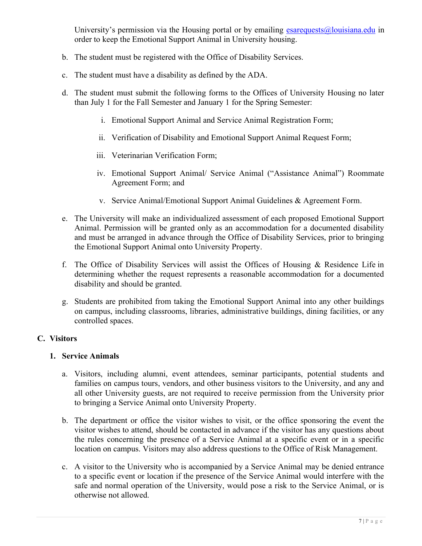University's permission via the Housing portal or by emailing  $\frac{e^{\frac{1}{2}}}{2}$  examples by emailing  $\frac{1}{2}$  examples by emailing  $\frac{e^{\frac{1}{2}}}{2}$  examples by emailing  $\frac{1}{2}$  examples by emailing  $\frac{e^{\frac{1}{2}}}{2}$  e order to keep the Emotional Support Animal in University housing.

- b. The student must be registered with the Office of Disability Services.
- c. The student must have a disability as defined by the ADA.
- d. The student must submit the following forms to the Offices of University Housing no later than July 1 for the Fall Semester and January 1 for the Spring Semester:
	- i. Emotional Support Animal and Service Animal Registration Form;
	- ii. Verification of Disability and Emotional Support Animal Request Form;
	- iii. Veterinarian Verification Form;
	- iv. Emotional Support Animal/ Service Animal ("Assistance Animal") Roommate Agreement Form; and
	- v. Service Animal/Emotional Support Animal Guidelines & Agreement Form.
- e. The University will make an individualized assessment of each proposed Emotional Support Animal. Permission will be granted only as an accommodation for a documented disability and must be arranged in advance through the Office of Disability Services, prior to bringing the Emotional Support Animal onto University Property.
- f. The Office of Disability Services will assist the Offices of Housing & Residence Life in determining whether the request represents a reasonable accommodation for a documented disability and should be granted.
- g. Students are prohibited from taking the Emotional Support Animal into any other buildings on campus, including classrooms, libraries, administrative buildings, dining facilities, or any controlled spaces.

#### C. Visitors

#### 1. Service Animals

- a. Visitors, including alumni, event attendees, seminar participants, potential students and families on campus tours, vendors, and other business visitors to the University, and any and all other University guests, are not required to receive permission from the University prior to bringing a Service Animal onto University Property.
- b. The department or office the visitor wishes to visit, or the office sponsoring the event the visitor wishes to attend, should be contacted in advance if the visitor has any questions about the rules concerning the presence of a Service Animal at a specific event or in a specific location on campus. Visitors may also address questions to the Office of Risk Management.
- c. A visitor to the University who is accompanied by a Service Animal may be denied entrance to a specific event or location if the presence of the Service Animal would interfere with the safe and normal operation of the University, would pose a risk to the Service Animal, or is otherwise not allowed.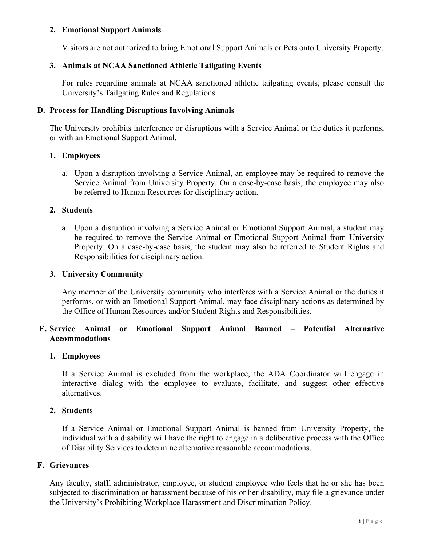## 2. Emotional Support Animals

Visitors are not authorized to bring Emotional Support Animals or Pets onto University Property.

## 3. Animals at NCAA Sanctioned Athletic Tailgating Events

For rules regarding animals at NCAA sanctioned athletic tailgating events, please consult the University's Tailgating Rules and Regulations.

#### D. Process for Handling Disruptions Involving Animals

The University prohibits interference or disruptions with a Service Animal or the duties it performs, or with an Emotional Support Animal.

## 1. Employees

a. Upon a disruption involving a Service Animal, an employee may be required to remove the Service Animal from University Property. On a case-by-case basis, the employee may also be referred to Human Resources for disciplinary action.

## 2. Students

a. Upon a disruption involving a Service Animal or Emotional Support Animal, a student may be required to remove the Service Animal or Emotional Support Animal from University Property. On a case-by-case basis, the student may also be referred to Student Rights and Responsibilities for disciplinary action.

#### 3. University Community

Any member of the University community who interferes with a Service Animal or the duties it performs, or with an Emotional Support Animal, may face disciplinary actions as determined by the Office of Human Resources and/or Student Rights and Responsibilities.

# E. Service Animal or Emotional Support Animal Banned – Potential Alternative Accommodations

#### 1. Employees

If a Service Animal is excluded from the workplace, the ADA Coordinator will engage in interactive dialog with the employee to evaluate, facilitate, and suggest other effective alternatives.

## 2. Students

If a Service Animal or Emotional Support Animal is banned from University Property, the individual with a disability will have the right to engage in a deliberative process with the Office of Disability Services to determine alternative reasonable accommodations.

#### F. Grievances

Any faculty, staff, administrator, employee, or student employee who feels that he or she has been subjected to discrimination or harassment because of his or her disability, may file a grievance under the University's Prohibiting Workplace Harassment and Discrimination Policy.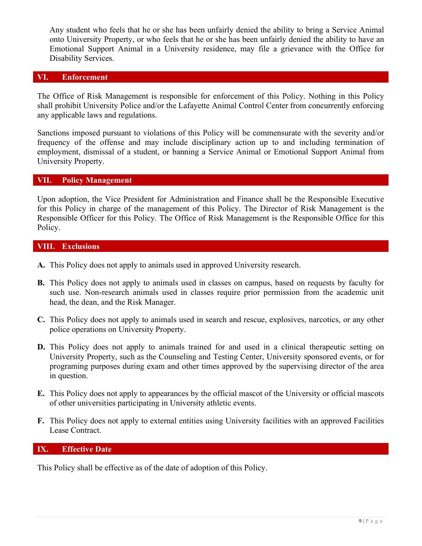Any student who feels that he or she has been unfairly denied the ability to bring a Service Animal onto University Property, or who feels that he or she has been unfairly denied the ability to have an Emotional Support Animal in a University residence, may file a grievance with the Office for Disability Services.

## VI. Enforcement

The Office of Risk Management is responsible for enforcement of this Policy. Nothing in this Policy shall prohibit University Police and/or the Lafayette Animal Control Center from concurrently enforcing any applicable laws and regulations.

Sanctions imposed pursuant to violations of this Policy will be commensurate with the severity and/or frequency of the offense and may include disciplinary action up to and including termination of employment, dismissal of a student, or banning a Service Animal or Emotional Support Animal from University Property.

#### VII. Policy Management

Upon adoption, the Vice President for Administration and Finance shall be the Responsible Executive for this Policy in charge of the management of this Policy. The Director of Risk Management is the Responsible Officer for this Policy. The Office of Risk Management is the Responsible Office for this Policy.

#### VIII. Exclusions

- A. This Policy does not apply to animals used in approved University research.
- B. This Policy does not apply to animals used in classes on campus, based on requests by faculty for such use. Non-research animals used in classes require prior permission from the academic unit head, the dean, and the Risk Manager.
- C. This Policy does not apply to animals used in search and rescue, explosives, narcotics, or any other police operations on University Property.
- D. This Policy does not apply to animals trained for and used in a clinical therapeutic setting on University Property, such as the Counseling and Testing Center, University sponsored events, or for programing purposes during exam and other times approved by the supervising director of the area in question.
- E. This Policy does not apply to appearances by the official mascot of the University or official mascots of other universities participating in University athletic events.
- F. This Policy does not apply to external entities using University facilities with an approved Facilities Lease Contract.

#### IX. Effective Date

This Policy shall be effective as of the date of adoption of this Policy.